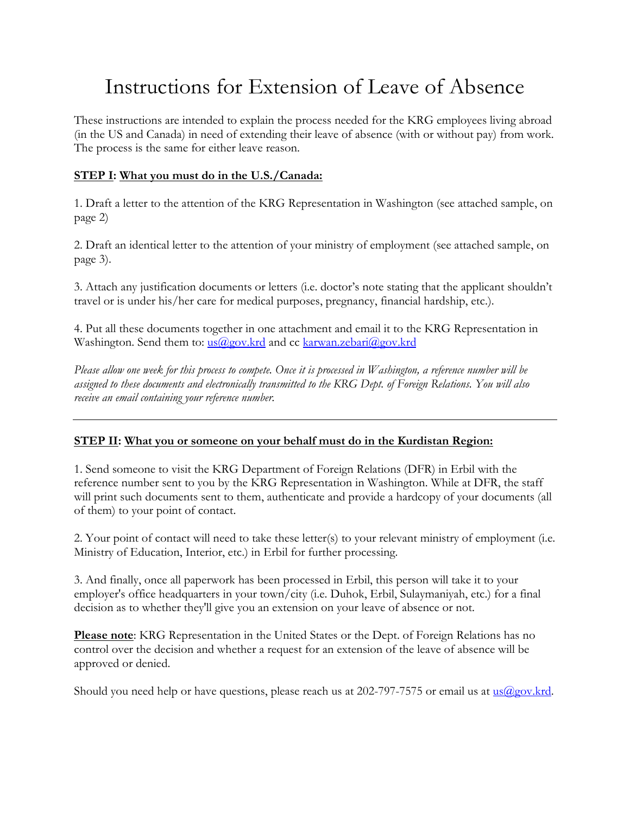## Instructions for Extension of Leave of Absence

These instructions are intended to explain the process needed for the KRG employees living abroad (in the US and Canada) in need of extending their leave of absence (with or without pay) from work. The process is the same for either leave reason.

## **STEP I: What you must do in the U.S./Canada:**

1. Draft a letter to the attention of the KRG Representation in Washington (see attached sample, on page 2)

2. Draft an identical letter to the attention of your ministry of employment (see attached sample, on page 3).

3. Attach any justification documents or letters (i.e. doctor's note stating that the applicant shouldn't travel or is under his/her care for medical purposes, pregnancy, financial hardship, etc.).

4. Put all these documents together in one attachment and email it to the KRG Representation in Washington. Send them to:  $us(\partial g \circ v, krd)$  and cc karwan.zebari $(\partial g \circ v, krd)$ 

*Please allow one week for this process to compete. Once it is processed in Washington, a reference number will be assigned to these documents and electronically transmitted to the KRG Dept. of Foreign Relations. You will also receive an email containing your reference number.*

## **STEP II: What you or someone on your behalf must do in the Kurdistan Region:**

1. Send someone to visit the KRG Department of Foreign Relations (DFR) in Erbil with the reference number sent to you by the KRG Representation in Washington. While at DFR, the staff will print such documents sent to them, authenticate and provide a hardcopy of your documents (all of them) to your point of contact.

2. Your point of contact will need to take these letter(s) to your relevant ministry of employment (i.e. Ministry of Education, Interior, etc.) in Erbil for further processing.

3. And finally, once all paperwork has been processed in Erbil, this person will take it to your employer's office headquarters in your town/city (i.e. Duhok, Erbil, Sulaymaniyah, etc.) for a final decision as to whether they'll give you an extension on your leave of absence or not.

**Please note**: KRG Representation in the United States or the Dept. of Foreign Relations has no control over the decision and whether a request for an extension of the leave of absence will be approved or denied.

Should you need help or have questions, please reach us at 202-797-7575 or email us at  $us@gov.krd$ .</u>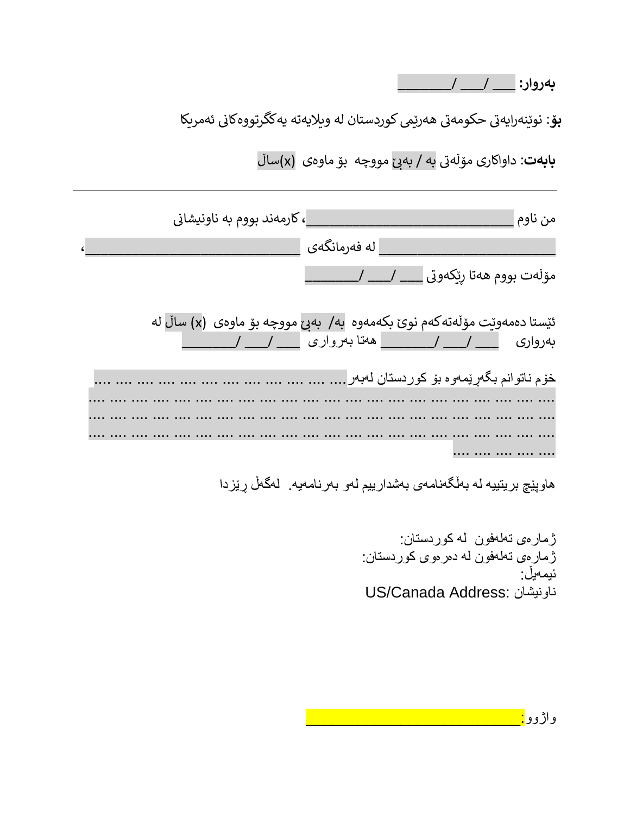**بەروار:** \_\_\_ /\_\_\_ /\_\_\_\_\_\_\_

ی**بۆ**: نوێنەرايەتى حكومەتى ھەرێمى كوردستان لە ويلايەتە يەكگرتووەكانى ئەمريكا

> ی**بابەت**: داواكارى مۆڵەتى <mark>بە / بەبىّ مووچە بۆ ماوەى (x)سا</mark>ڵ

کارمەند بووم بە ناونیشات <sup>ی</sup> من ناوم \_\_\_\_\_\_\_\_\_\_\_\_\_\_\_\_\_\_\_\_\_\_\_\_\_\_\_، له فەرمانگەی  $\Box$ ی مۆڵەت بووم هەتا ڕێکەوت \_\_\_ /\_\_\_ /\_\_\_\_\_\_\_ ئێستا دەمەوێت مۆڵەتەكەم نوێ بكەمەوە بە/ بەبێ مووچە بۆ ماوەى (x) ساڵ لە بەرواری \_\_\_ /\_\_\_ /\_\_\_\_\_\_\_ هەتا بەرواری \_\_\_ /\_\_\_ /\_\_\_\_\_\_\_ خۆم ناتوانم بگەڕێمەوە بۆ کوردستان لەبەر.... .... .... .... .... .... .... .... .... .... .... .... .... .... .... .... .... .... .... .... .... .... .... .... .... .... .... .... .... .... .... .... .... .... .... .... .... .... .... .... .... .... .... .... .... .... .... .... .... .... .... .... .... .... .... .... .... .... .... .... .... .... .... .... .... .... .... .... .... .... .... .... .... .... .... .... .... .... .... .... .... .... .... هاوپێچ بریتییە لە بەڵگەنامەی بەشدارییم لەو بەرنامەیە. لەگەڵ ڕێزدا

> ژمارەی تەلەفون لە کوردستان: ژمارەی تەلەفون لە دەرەوی کوردستان: ئیمەیڵ: US/Canada Address : ناونیشان

> > واژوو<mark>: ا</mark>